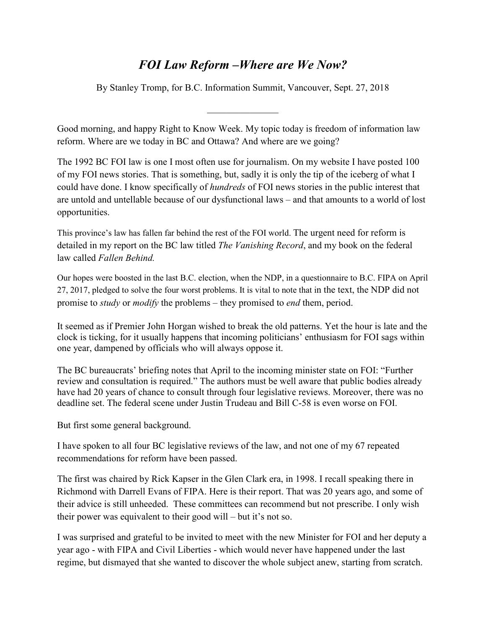## *FOI Law Reform –Where are We Now?*

By Stanley Tromp, for B.C. Information Summit, Vancouver, Sept. 27, 2018

 $\frac{1}{2}$  ,  $\frac{1}{2}$  ,  $\frac{1}{2}$  ,  $\frac{1}{2}$  ,  $\frac{1}{2}$  ,  $\frac{1}{2}$  ,  $\frac{1}{2}$ 

Good morning, and happy Right to Know Week. My topic today is freedom of information law reform. Where are we today in BC and Ottawa? And where are we going?

The 1992 BC FOI law is one I most often use for journalism. On my website I have posted 100 of my FOI news stories. That is something, but, sadly it is only the tip of the iceberg of what I could have done. I know specifically of *hundreds* of FOI news stories in the public interest that are untold and untellable because of our dysfunctional laws – and that amounts to a world of lost opportunities.

This province's law has fallen far behind the rest of the FOI world. The urgent need for reform is detailed in my report on the BC law titled *The Vanishing Record*, and my book on the federal law called *Fallen Behind.* 

Our hopes were boosted in the last B.C. election, when the NDP, in a questionnaire to B.C. FIPA on April 27, 2017, pledged to solve the four worst problems. It is vital to note that in the text, the NDP did not promise to *study* or *modify* the problems – they promised to *end* them, period.

It seemed as if Premier John Horgan wished to break the old patterns. Yet the hour is late and the clock is ticking, for it usually happens that incoming politicians' enthusiasm for FOI sags within one year, dampened by officials who will always oppose it.

The BC bureaucrats' briefing notes that April to the incoming minister state on FOI: "Further review and consultation is required." The authors must be well aware that public bodies already have had 20 years of chance to consult through four legislative reviews. Moreover, there was no deadline set. The federal scene under Justin Trudeau and Bill C-58 is even worse on FOI.

But first some general background.

I have spoken to all four BC legislative reviews of the law, and not one of my 67 repeated recommendations for reform have been passed.

The first was chaired by Rick Kapser in the Glen Clark era, in 1998. I recall speaking there in Richmond with Darrell Evans of FIPA. Here is their report. That was 20 years ago, and some of their advice is still unheeded. These committees can recommend but not prescribe. I only wish their power was equivalent to their good will – but it's not so.

I was surprised and grateful to be invited to meet with the new Minister for FOI and her deputy a year ago - with FIPA and Civil Liberties - which would never have happened under the last regime, but dismayed that she wanted to discover the whole subject anew, starting from scratch.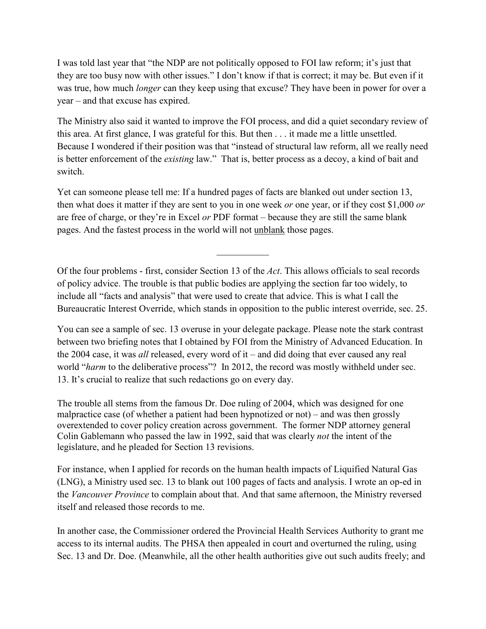I was told last year that "the NDP are not politically opposed to FOI law reform; it's just that they are too busy now with other issues." I don't know if that is correct; it may be. But even if it was true, how much *longer* can they keep using that excuse? They have been in power for over a year – and that excuse has expired.

The Ministry also said it wanted to improve the FOI process, and did a quiet secondary review of this area. At first glance, I was grateful for this. But then . . . it made me a little unsettled. Because I wondered if their position was that "instead of structural law reform, all we really need is better enforcement of the *existing* law." That is, better process as a decoy, a kind of bait and switch.

Yet can someone please tell me: If a hundred pages of facts are blanked out under section 13, then what does it matter if they are sent to you in one week *or* one year, or if they cost \$1,000 *or* are free of charge, or they're in Excel *or* PDF format – because they are still the same blank pages. And the fastest process in the world will not unblank those pages.

Of the four problems - first, consider Section 13 of the *Act*. This allows officials to seal records of policy advice. The trouble is that public bodies are applying the section far too widely, to include all "facts and analysis" that were used to create that advice. This is what I call the Bureaucratic Interest Override, which stands in opposition to the public interest override, sec. 25.

 $\frac{1}{2}$  ,  $\frac{1}{2}$  ,  $\frac{1}{2}$  ,  $\frac{1}{2}$  ,  $\frac{1}{2}$  ,  $\frac{1}{2}$ 

You can see a sample of sec. 13 overuse in your delegate package. Please note the stark contrast between two briefing notes that I obtained by FOI from the Ministry of Advanced Education. In the 2004 case, it was *all* released, every word of it – and did doing that ever caused any real world "*harm* to the deliberative process"? In 2012, the record was mostly withheld under sec. 13. It's crucial to realize that such redactions go on every day.

The trouble all stems from the famous Dr. Doe ruling of 2004, which was designed for one malpractice case (of whether a patient had been hypnotized or not) – and was then grossly overextended to cover policy creation across government. The former NDP attorney general Colin Gablemann who passed the law in 1992, said that was clearly *not* the intent of the legislature, and he pleaded for Section 13 revisions.

For instance, when I applied for records on the human health impacts of Liquified Natural Gas (LNG), a Ministry used sec. 13 to blank out 100 pages of facts and analysis. I wrote an op-ed in the *Vancouver Province* to complain about that. And that same afternoon, the Ministry reversed itself and released those records to me.

In another case, the Commissioner ordered the Provincial Health Services Authority to grant me access to its internal audits. The PHSA then appealed in court and overturned the ruling, using Sec. 13 and Dr. Doe. (Meanwhile, all the other health authorities give out such audits freely; and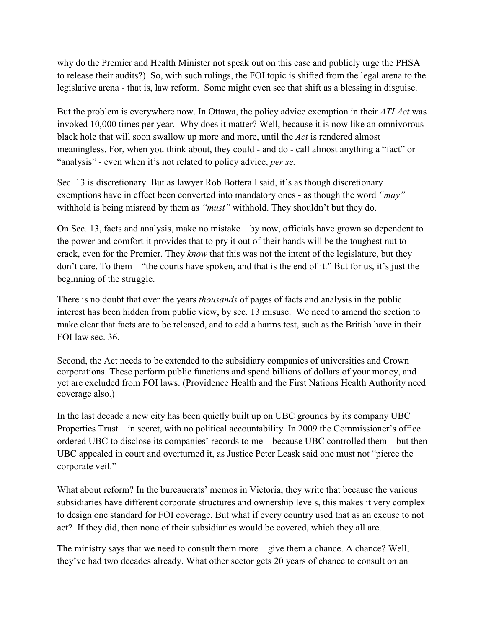why do the Premier and Health Minister not speak out on this case and publicly urge the PHSA to release their audits?) So, with such rulings, the FOI topic is shifted from the legal arena to the legislative arena - that is, law reform. Some might even see that shift as a blessing in disguise.

But the problem is everywhere now. In Ottawa, the policy advice exemption in their *ATI Act* was invoked 10,000 times per year. Why does it matter? Well, because it is now like an omnivorous black hole that will soon swallow up more and more, until the *Act* is rendered almost meaningless. For, when you think about, they could - and do - call almost anything a "fact" or "analysis" - even when it's not related to policy advice, *per se.*

Sec. 13 is discretionary. But as lawyer Rob Botterall said, it's as though discretionary exemptions have in effect been converted into mandatory ones - as though the word *"may"* withhold is being misread by them as *"must"* withhold. They shouldn't but they do.

On Sec. 13, facts and analysis, make no mistake – by now, officials have grown so dependent to the power and comfort it provides that to pry it out of their hands will be the toughest nut to crack, even for the Premier. They *know* that this was not the intent of the legislature, but they don't care. To them – "the courts have spoken, and that is the end of it." But for us, it's just the beginning of the struggle.

There is no doubt that over the years *thousands* of pages of facts and analysis in the public interest has been hidden from public view, by sec. 13 misuse. We need to amend the section to make clear that facts are to be released, and to add a harms test, such as the British have in their FOI law sec. 36.

Second, the Act needs to be extended to the subsidiary companies of universities and Crown corporations. These perform public functions and spend billions of dollars of your money, and yet are excluded from FOI laws. (Providence Health and the First Nations Health Authority need coverage also.)

In the last decade a new city has been quietly built up on UBC grounds by its company UBC Properties Trust – in secret, with no political accountability. In 2009 the Commissioner's office ordered UBC to disclose its companies' records to me – because UBC controlled them – but then UBC appealed in court and overturned it, as Justice Peter Leask said one must not "pierce the corporate veil."

What about reform? In the bureaucrats' memos in Victoria, they write that because the various subsidiaries have different corporate structures and ownership levels, this makes it very complex to design one standard for FOI coverage. But what if every country used that as an excuse to not act? If they did, then none of their subsidiaries would be covered, which they all are.

The ministry says that we need to consult them more – give them a chance. A chance? Well, they've had two decades already. What other sector gets 20 years of chance to consult on an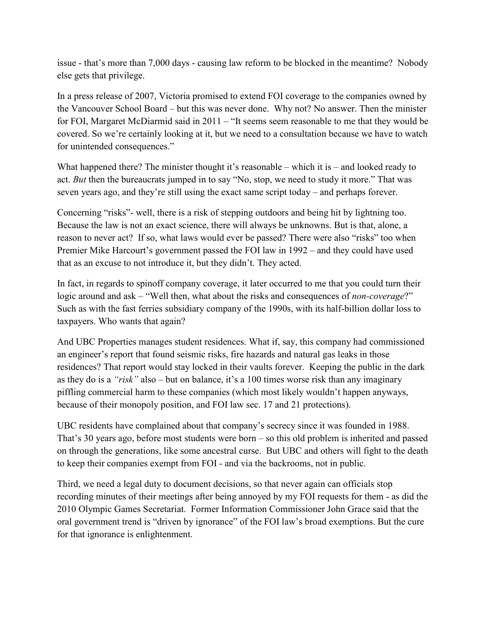issue - that's more than 7,000 days - causing law reform to be blocked in the meantime? Nobody else gets that privilege.

In a press release of 2007, Victoria promised to extend FOI coverage to the companies owned by the Vancouver School Board – but this was never done. Why not? No answer. Then the minister for FOI, Margaret McDiarmid said in 2011 – "It seems seem reasonable to me that they would be covered. So we're certainly looking at it, but we need to a consultation because we have to watch for unintended consequences."

What happened there? The minister thought it's reasonable – which it is – and looked ready to act. *But* then the bureaucrats jumped in to say "No, stop, we need to study it more." That was seven years ago, and they're still using the exact same script today – and perhaps forever.

Concerning "risks"- well, there is a risk of stepping outdoors and being hit by lightning too. Because the law is not an exact science, there will always be unknowns. But is that, alone, a reason to never act? If so, what laws would ever be passed? There were also "risks" too when Premier Mike Harcourt's government passed the FOI law in 1992 – and they could have used that as an excuse to not introduce it, but they didn't. They acted.

In fact, in regards to spinoff company coverage, it later occurred to me that you could turn their logic around and ask – "Well then, what about the risks and consequences of *non-coverage*?" Such as with the fast ferries subsidiary company of the 1990s, with its half-billion dollar loss to taxpayers. Who wants that again?

And UBC Properties manages student residences. What if, say, this company had commissioned an engineer's report that found seismic risks, fire hazards and natural gas leaks in those residences? That report would stay locked in their vaults forever. Keeping the public in the dark as they do is a *"risk"* also – but on balance, it's a 100 times worse risk than any imaginary piffling commercial harm to these companies (which most likely wouldn't happen anyways, because of their monopoly position, and FOI law sec. 17 and 21 protections).

UBC residents have complained about that company's secrecy since it was founded in 1988. That's 30 years ago, before most students were born – so this old problem is inherited and passed on through the generations, like some ancestral curse. But UBC and others will fight to the death to keep their companies exempt from FOI - and via the backrooms, not in public.

Third, we need a legal duty to document decisions, so that never again can officials stop recording minutes of their meetings after being annoyed by my FOI requests for them - as did the 2010 Olympic Games Secretariat. Former Information Commissioner John Grace said that the oral government trend is "driven by ignorance" of the FOI law's broad exemptions. But the cure for that ignorance is enlightenment.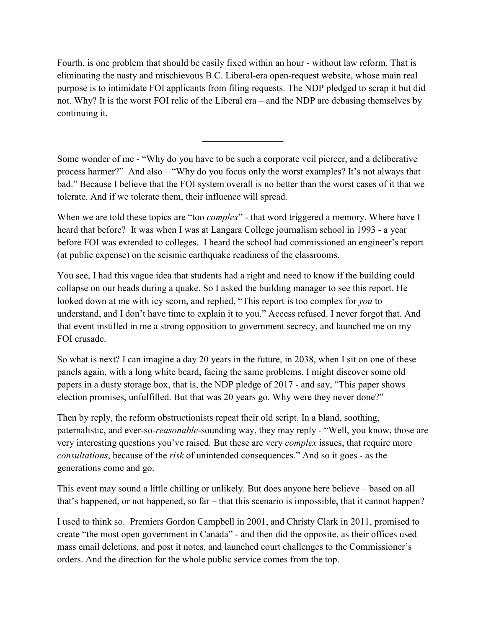Fourth, is one problem that should be easily fixed within an hour - without law reform. That is eliminating the nasty and mischievous B.C. Liberal-era open-request website, whose main real purpose is to intimidate FOI applicants from filing requests. The NDP pledged to scrap it but did not. Why? It is the worst FOI relic of the Liberal era – and the NDP are debasing themselves by continuing it.

Some wonder of me - "Why do you have to be such a corporate veil piercer, and a deliberative process harmer?" And also – "Why do you focus only the worst examples? It's not always that bad." Because I believe that the FOI system overall is no better than the worst cases of it that we tolerate. And if we tolerate them, their influence will spread.

 $\_$ 

When we are told these topics are "too *complex*" - that word triggered a memory. Where have I heard that before? It was when I was at Langara College journalism school in 1993 - a year before FOI was extended to colleges. I heard the school had commissioned an engineer's report (at public expense) on the seismic earthquake readiness of the classrooms.

You see, I had this vague idea that students had a right and need to know if the building could collapse on our heads during a quake. So I asked the building manager to see this report. He looked down at me with icy scorn, and replied, "This report is too complex for *you* to understand, and I don't have time to explain it to you." Access refused. I never forgot that. And that event instilled in me a strong opposition to government secrecy, and launched me on my FOI crusade.

So what is next? I can imagine a day 20 years in the future, in 2038, when I sit on one of these panels again, with a long white beard, facing the same problems. I might discover some old papers in a dusty storage box, that is, the NDP pledge of 2017 - and say, "This paper shows election promises, unfulfilled. But that was 20 years go. Why were they never done?"

Then by reply, the reform obstructionists repeat their old script. In a bland, soothing, paternalistic, and ever-so-*reasonable*-sounding way, they may reply - "Well, you know, those are very interesting questions you've raised. But these are very *complex* issues, that require more *consultations*, because of the *risk* of unintended consequences." And so it goes - as the generations come and go.

This event may sound a little chilling or unlikely. But does anyone here believe – based on all that's happened, or not happened, so far – that this scenario is impossible, that it cannot happen?

I used to think so. Premiers Gordon Campbell in 2001, and Christy Clark in 2011, promised to create "the most open government in Canada" - and then did the opposite, as their offices used mass email deletions, and post it notes, and launched court challenges to the Commissioner's orders. And the direction for the whole public service comes from the top.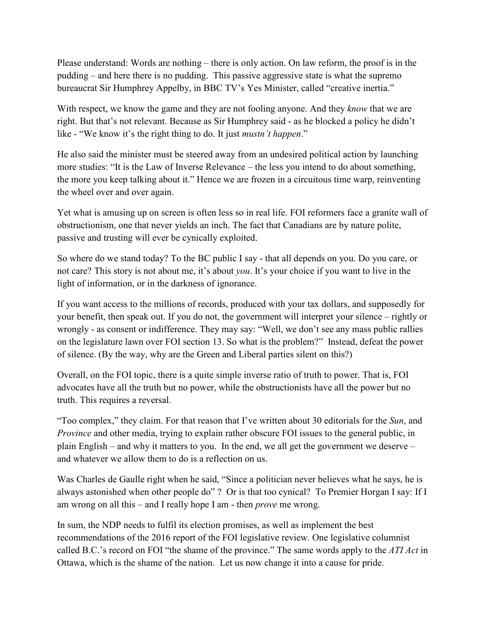Please understand: Words are nothing – there is only action. On law reform, the proof is in the pudding – and here there is no pudding. This passive aggressive state is what the supremo bureaucrat Sir Humphrey Appelby, in BBC TV's Yes Minister, called "creative inertia."

With respect, we know the game and they are not fooling anyone. And they *know* that we are right. But that's not relevant. Because as Sir Humphrey said - as he blocked a policy he didn't like - "We know it's the right thing to do. It just *mustn't happen*."

He also said the minister must be steered away from an undesired political action by launching more studies: "It is the Law of Inverse Relevance – the less you intend to do about something, the more you keep talking about it." Hence we are frozen in a circuitous time warp, reinventing the wheel over and over again.

Yet what is amusing up on screen is often less so in real life. FOI reformers face a granite wall of obstructionism, one that never yields an inch. The fact that Canadians are by nature polite, passive and trusting will ever be cynically exploited.

So where do we stand today? To the BC public I say - that all depends on you. Do you care, or not care? This story is not about me, it's about *you*. It's your choice if you want to live in the light of information, or in the darkness of ignorance.

If you want access to the millions of records, produced with your tax dollars, and supposedly for your benefit, then speak out. If you do not, the government will interpret your silence – rightly or wrongly - as consent or indifference. They may say: "Well, we don't see any mass public rallies on the legislature lawn over FOI section 13. So what is the problem?" Instead, defeat the power of silence. (By the way, why are the Green and Liberal parties silent on this?)

Overall, on the FOI topic, there is a quite simple inverse ratio of truth to power. That is, FOI advocates have all the truth but no power, while the obstructionists have all the power but no truth. This requires a reversal.

"Too complex," they claim. For that reason that I've written about 30 editorials for the *Sun*, and *Province* and other media, trying to explain rather obscure FOI issues to the general public, in plain English – and why it matters to you. In the end, we all get the government we deserve – and whatever we allow them to do is a reflection on us.

Was Charles de Gaulle right when he said, "Since a politician never believes what he says, he is always astonished when other people do" ? Or is that too cynical? To Premier Horgan I say: If I am wrong on all this – and I really hope I am - then *prove* me wrong.

In sum, the NDP needs to fulfil its election promises, as well as implement the best recommendations of the 2016 report of the FOI legislative review. One legislative columnist called B.C.'s record on FOI "the shame of the province." The same words apply to the *ATI Act* in Ottawa, which is the shame of the nation. Let us now change it into a cause for pride.